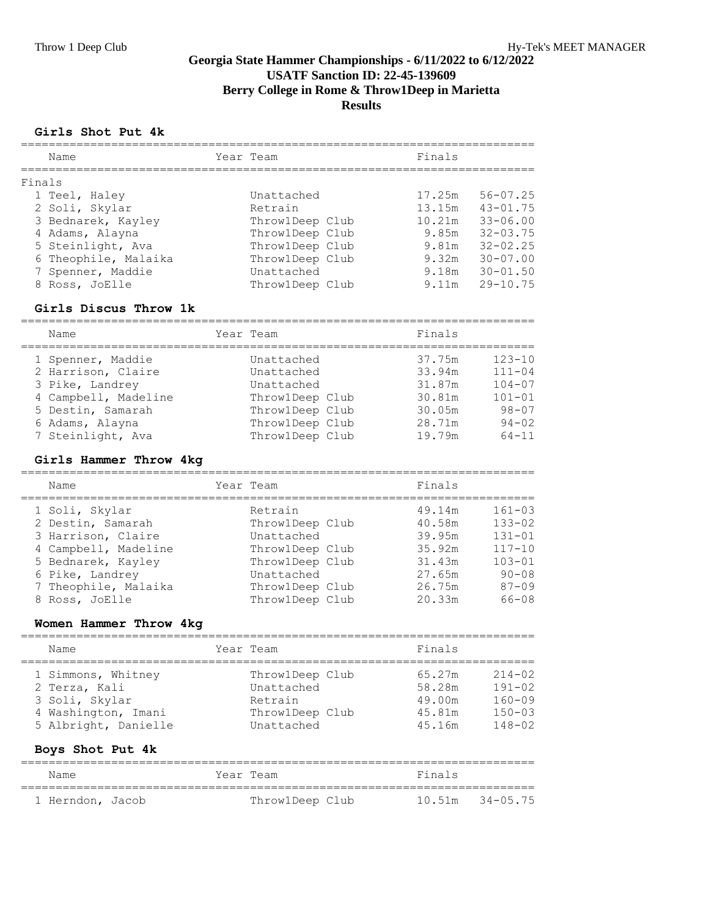# **Georgia State Hammer Championships - 6/11/2022 to 6/12/2022 USATF Sanction ID: 22-45-139609 Berry College in Rome & Throw1Deep in Marietta Results**

#### **Girls Shot Put 4k**

|        | Name                 | Year Team       | Finals |              |
|--------|----------------------|-----------------|--------|--------------|
| Finals |                      |                 |        |              |
|        | 1 Teel, Haley        | Unattached      | 17.25m | $56 - 07.25$ |
|        | 2 Soli, Skylar       | Retrain         | 13.15m | $43 - 01.75$ |
|        | 3 Bednarek, Kayley   | Throw1Deep Club | 10.21m | $33 - 06.00$ |
|        | 4 Adams, Alayna      | Throw1Deep Club | 9.85m  | $32 - 03.75$ |
|        | 5 Steinlight, Ava    | Throw1Deep Club | 9.81m  | $32 - 02.25$ |
|        | 6 Theophile, Malaika | Throw1Deep Club | 9.32m  | $30 - 07.00$ |
|        | 7 Spenner, Maddie    | Unattached      | 9.18m  | $30 - 01.50$ |
|        | 8 Ross, JoElle       | Throw1Deep Club | 9.11m  | $29 - 10.75$ |

#### **Girls Discus Throw 1k**

========================================================================== Name **State Team** Present Team **Finals** 

| 1.9641111            | $\pm$ C <sub>2</sub> ( $\pm$ $\pm$ $\pm$ C <sub>2</sub> ( $\pm$ 1) | .      |            |
|----------------------|--------------------------------------------------------------------|--------|------------|
| 1 Spenner, Maddie    | Unattached                                                         | 37.75m | $123 - 10$ |
| 2 Harrison, Claire   | Unattached                                                         | 33.94m | $111 - 04$ |
| 3 Pike, Landrey      | Unattached                                                         | 31.87m | $104 - 07$ |
| 4 Campbell, Madeline | Throw1Deep Club                                                    | 30.81m | $101 - 01$ |
| 5 Destin, Samarah    | Throw1Deep Club                                                    | 30.05m | $98 - 07$  |
| 6 Adams, Alayna      | Throw1Deep Club                                                    | 28.71m | $94 - 02$  |
| 7 Steinlight, Ava    | Throw1Deep Club                                                    | 19.79m | $64 - 11$  |

#### **Girls Hammer Throw 4kg**

| Name                 | Year Team       | Finals |            |
|----------------------|-----------------|--------|------------|
| 1 Soli, Skylar       | Retrain         | 49.14m | $161 - 03$ |
| 2 Destin, Samarah    | Throw1Deep Club | 40.58m | $133 - 02$ |
| 3 Harrison, Claire   | Unattached      | 39.95m | $131 - 01$ |
| 4 Campbell, Madeline | Throw1Deep Club | 35.92m | $117 - 10$ |
| 5 Bednarek, Kayley   | Throw1Deep Club | 31.43m | $103 - 01$ |
| 6 Pike, Landrey      | Unattached      | 27.65m | $90 - 08$  |
| 7 Theophile, Malaika | Throw1Deep Club | 26.75m | $87 - 09$  |
| 8 Ross, JoElle       | Throw1Deep Club | 20.33m | $66 - 08$  |

## **Women Hammer Throw 4kg**

| Name                 | Year Team       | Finals |            |
|----------------------|-----------------|--------|------------|
| 1 Simmons, Whitney   | Throw1Deep Club | 65.27m | $214 - 02$ |
| 2 Terza, Kali        | Unattached      | 58.28m | $191 - 02$ |
| 3 Soli, Skylar       | Retrain         | 49.00m | $160 - 09$ |
| 4 Washington, Imani  | Throw1Deep Club | 45.81m | $150 - 03$ |
| 5 Albright, Danielle | Unattached      | 45.16m | $148 - 02$ |

### **Boys Shot Put 4k**

| Name             | Year Team       | Finals              |  |
|------------------|-----------------|---------------------|--|
| 1 Herndon, Jacob | Throw1Deep Club | $10.51m$ $34-05.75$ |  |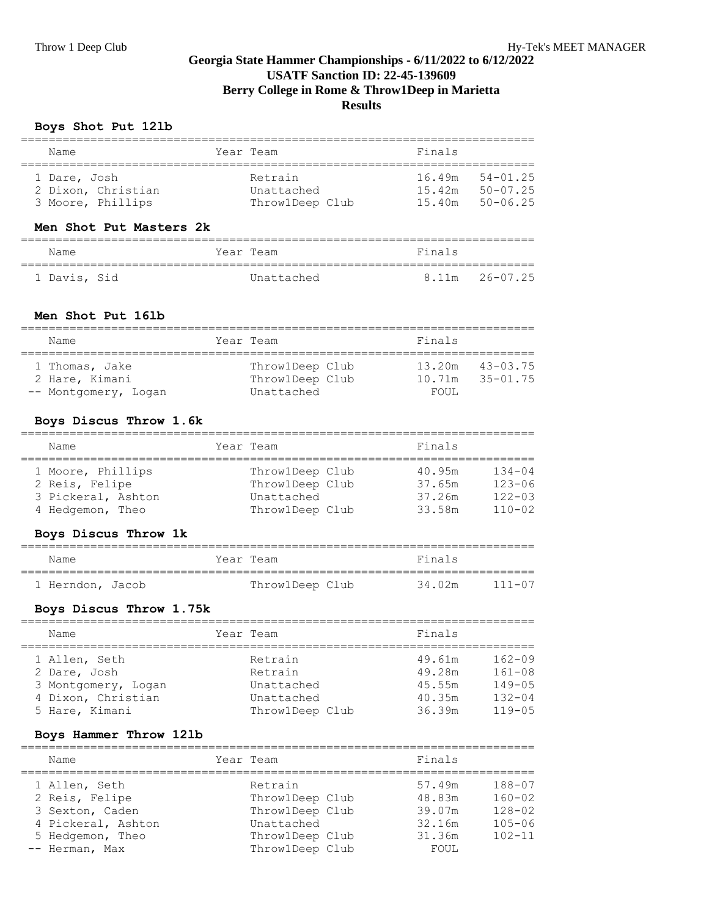# **Georgia State Hammer Championships - 6/11/2022 to 6/12/2022 USATF Sanction ID: 22-45-139609 Berry College in Rome & Throw1Deep in Marietta Results**

## **Boys Shot Put 12lb**

| Name                               | Year Team             | Finals                                         |
|------------------------------------|-----------------------|------------------------------------------------|
|                                    |                       |                                                |
| 1 Dare, Josh<br>2 Dixon, Christian | Retrain<br>Unattached | $54 - 01$ , 25<br>16.49m<br>50-07.25<br>15.42m |
| 3 Moore, Phillips                  | Throw1Deep Club       | 50-06.25<br>15.40m                             |
|                                    |                       |                                                |

### **Men Shot Put Masters 2k**

| Name         | Year Team  | Finals |                |
|--------------|------------|--------|----------------|
|              |            |        |                |
| 1 Davis, Sid | Unattached |        | 8.11m 26-07.25 |

#### **Men Shot Put 16lb**

| Name                 | Year Team       | Finals |                |
|----------------------|-----------------|--------|----------------|
| 1 Thomas, Jake       | Throw1Deep Club | 13.20m | $43 - 03.75$   |
| 2 Hare, Kimani       | Throw1Deep Club | 10.71m | $35 - 01$ . 75 |
| -- Montgomery, Logan | Unattached      | FOUL.  |                |

### **Boys Discus Throw 1.6k**

| Name |                    | Year Team       |  | Finals |            |
|------|--------------------|-----------------|--|--------|------------|
|      | 1 Moore, Phillips  | Throw1Deep Club |  | 40.95m | $134 - 04$ |
|      | 2 Reis, Felipe     | Throw1Deep Club |  | 37.65m | $123 - 06$ |
|      | 3 Pickeral, Ashton | Unattached      |  | 37.26m | $122 - 03$ |
|      | 4 Hedgemon, Theo   | Throw1Deep Club |  | 33.58m | $110 - 02$ |

### **Boys Discus Throw 1k**

| Name             |  | Year Team       | Finals |        |
|------------------|--|-----------------|--------|--------|
| 1 Herndon, Jacob |  | Throw1Deep Club | 34.02m | 111-07 |

# **Boys Discus Throw 1.75k**

| Name                | Year Team       | Finals |            |
|---------------------|-----------------|--------|------------|
| 1 Allen, Seth       | Retrain         | 49.61m | $162 - 09$ |
| 2 Dare, Josh        | Retrain         | 49.28m | $161 - 08$ |
| 3 Montgomery, Logan | Unattached      | 45.55m | $149 - 05$ |
| 4 Dixon, Christian  | Unattached      | 40.35m | $132 - 04$ |
| 5 Hare, Kimani      | Throw1Deep Club | 36.39m | $119 - 05$ |

### **Boys Hammer Throw 12lb**

| Name               | Year Team       | Finals |            |
|--------------------|-----------------|--------|------------|
|                    |                 |        |            |
| 1 Allen, Seth      | Retrain         | 57.49m | $188 - 07$ |
| 2 Reis, Felipe     | Throw1Deep Club | 48.83m | $160 - 02$ |
| 3 Sexton, Caden    | Throw1Deep Club | 39.07m | $128 - 02$ |
| 4 Pickeral, Ashton | Unattached      | 32.16m | $105 - 06$ |
| 5 Hedgemon, Theo   | Throw1Deep Club | 31.36m | $102 - 11$ |
| -- Herman, Max     | Throw1Deep Club | FOUL   |            |